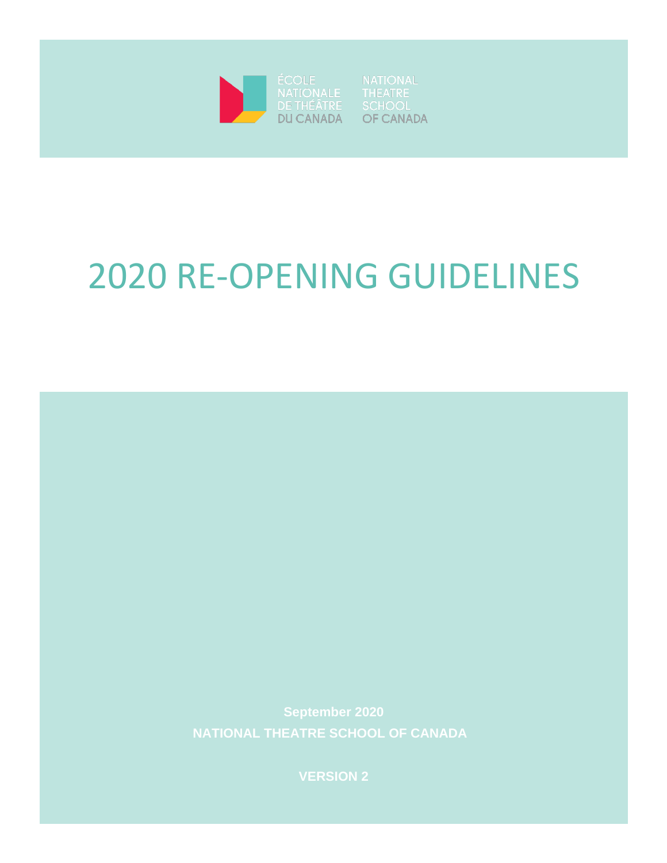

**OF CANADA** 

# 2020 RE-OPENING GUIDELINES

**NATIONAL THEATRE SCHOOL OF CANADA** 

**VERSION 2**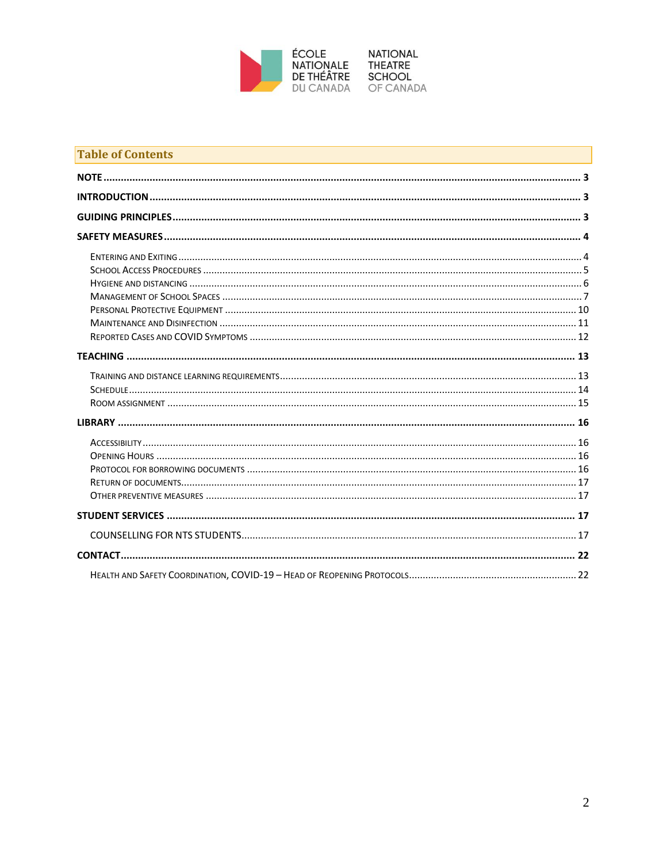

| <b>Table of Contents</b> |  |
|--------------------------|--|
|                          |  |
|                          |  |
|                          |  |
|                          |  |
|                          |  |
|                          |  |
|                          |  |
|                          |  |
|                          |  |
|                          |  |
|                          |  |
|                          |  |
|                          |  |
|                          |  |
|                          |  |
|                          |  |
|                          |  |
|                          |  |
|                          |  |
|                          |  |
|                          |  |
|                          |  |
|                          |  |
|                          |  |
|                          |  |
|                          |  |
|                          |  |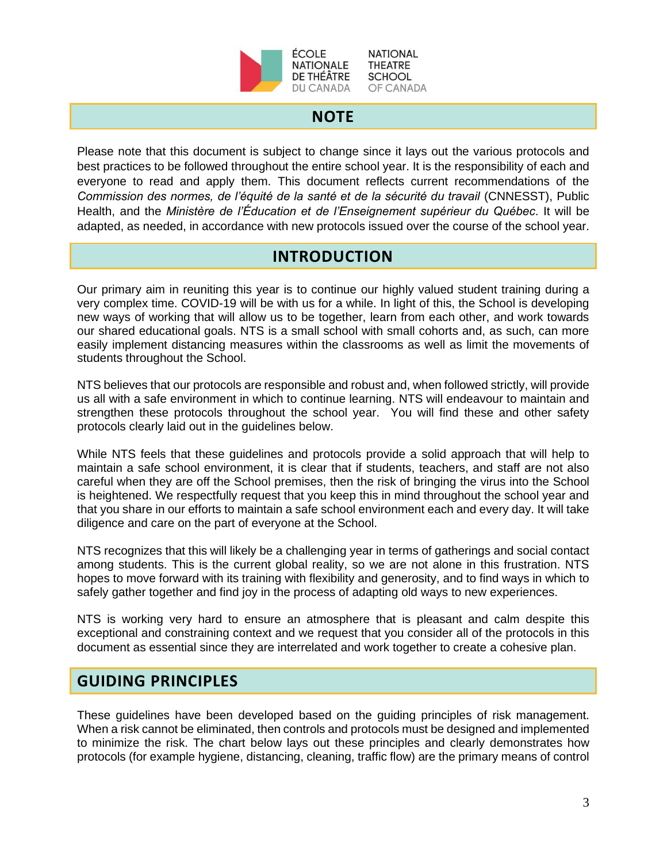

**NATIONAL** THEATRE **SCHOOL** OF CANADA

## **NOTE**

<span id="page-2-0"></span>Please note that this document is subject to change since it lays out the various protocols and best practices to be followed throughout the entire school year. It is the responsibility of each and everyone to read and apply them. This document reflects current recommendations of the *Commission des normes, de l'équité de la santé et de la sécurité du travail* (CNNESST), Public Health, and the *Ministère de l'Éducation et de l'Enseignement supérieur du Québec*. It will be adapted, as needed, in accordance with new protocols issued over the course of the school year.

# **INTRODUCTION**

<span id="page-2-1"></span>Our primary aim in reuniting this year is to continue our highly valued student training during a very complex time. COVID-19 will be with us for a while. In light of this, the School is developing new ways of working that will allow us to be together, learn from each other, and work towards our shared educational goals. NTS is a small school with small cohorts and, as such, can more easily implement distancing measures within the classrooms as well as limit the movements of students throughout the School.

NTS believes that our protocols are responsible and robust and, when followed strictly, will provide us all with a safe environment in which to continue learning. NTS will endeavour to maintain and strengthen these protocols throughout the school year. You will find these and other safety protocols clearly laid out in the guidelines below.

While NTS feels that these guidelines and protocols provide a solid approach that will help to maintain a safe school environment, it is clear that if students, teachers, and staff are not also careful when they are off the School premises, then the risk of bringing the virus into the School is heightened. We respectfully request that you keep this in mind throughout the school year and that you share in our efforts to maintain a safe school environment each and every day. It will take diligence and care on the part of everyone at the School.

NTS recognizes that this will likely be a challenging year in terms of gatherings and social contact among students. This is the current global reality, so we are not alone in this frustration. NTS hopes to move forward with its training with flexibility and generosity, and to find ways in which to safely gather together and find joy in the process of adapting old ways to new experiences.

NTS is working very hard to ensure an atmosphere that is pleasant and calm despite this exceptional and constraining context and we request that you consider all of the protocols in this document as essential since they are interrelated and work together to create a cohesive plan.

# <span id="page-2-2"></span>**GUIDING PRINCIPLES**

These guidelines have been developed based on the guiding principles of risk management. When a risk cannot be eliminated, then controls and protocols must be designed and implemented to minimize the risk. The chart below lays out these principles and clearly demonstrates how protocols (for example hygiene, distancing, cleaning, traffic flow) are the primary means of control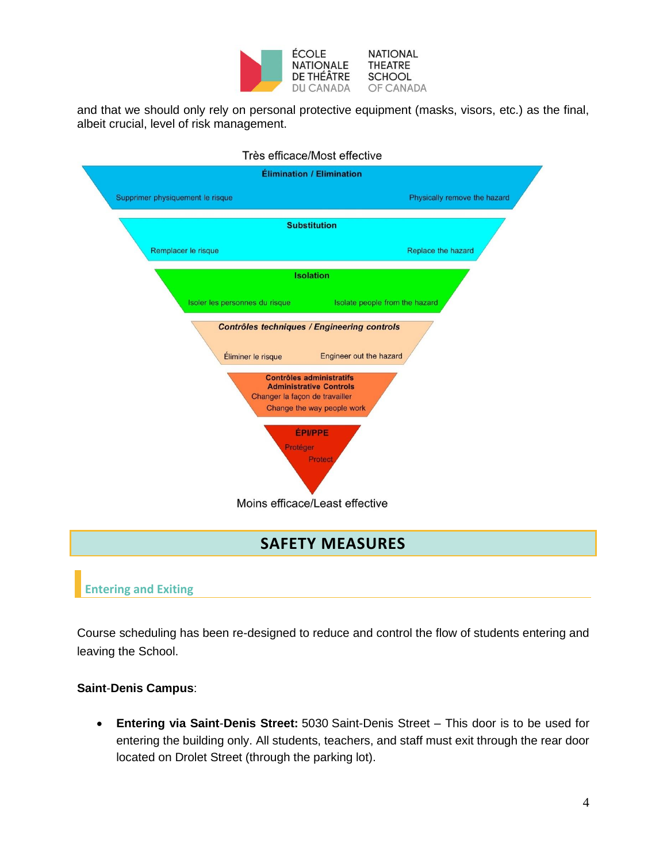

and that we should only rely on personal protective equipment (masks, visors, etc.) as the final, albeit crucial, level of risk management.

|                                  | Très efficace/Most effective                                                                    |
|----------------------------------|-------------------------------------------------------------------------------------------------|
|                                  | Élimination / Elimination                                                                       |
| Supprimer physiquement le risque | Physically remove the hazard                                                                    |
|                                  | <b>Substitution</b>                                                                             |
| Remplacer le risque              | Replace the hazard                                                                              |
|                                  | <b>Isolation</b>                                                                                |
| Isoler les personnes du risque   | Isolate people from the hazard                                                                  |
| Éliminer le risque               | Contrôles techniques / Engineering controls<br>Engineer out the hazard                          |
| Changer la façon de travailler   | <b>Contrôles administratifs</b><br><b>Administrative Controls</b><br>Change the way people work |
| Protéger                         | <b>ÉPI/PPE</b><br>Protect                                                                       |
|                                  | Moins efficace/Least effective                                                                  |
|                                  |                                                                                                 |

# **SAFETY MEASURES**

# <span id="page-3-1"></span><span id="page-3-0"></span>**Entering and Exiting**

Course scheduling has been re-designed to reduce and control the flow of students entering and leaving the School.

#### **Saint**-**Denis Campus**:

• **Entering via Saint**-**Denis Street:** 5030 Saint-Denis Street – This door is to be used for entering the building only. All students, teachers, and staff must exit through the rear door located on Drolet Street (through the parking lot).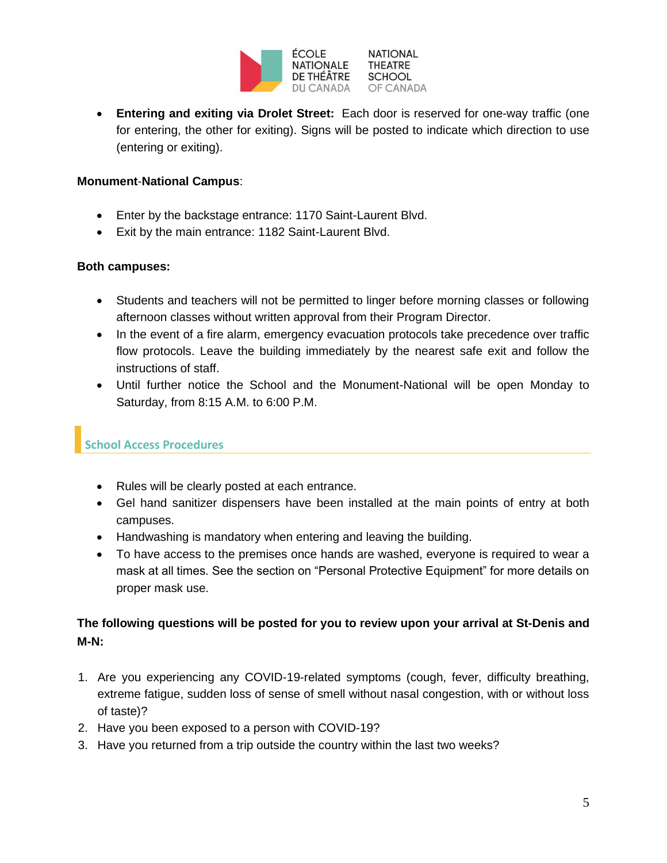

• **Entering and exiting via Drolet Street:** Each door is reserved for one-way traffic (one for entering, the other for exiting). Signs will be posted to indicate which direction to use (entering or exiting).

#### **Monument**-**National Campus**:

- Enter by the backstage entrance: 1170 Saint-Laurent Blvd.
- Exit by the main entrance: 1182 Saint-Laurent Blvd.

#### **Both campuses:**

- Students and teachers will not be permitted to linger before morning classes or following afternoon classes without written approval from their Program Director.
- In the event of a fire alarm, emergency evacuation protocols take precedence over traffic flow protocols. Leave the building immediately by the nearest safe exit and follow the instructions of staff.
- Until further notice the School and the Monument-National will be open Monday to Saturday, from 8:15 A.M. to 6:00 P.M.

## <span id="page-4-0"></span>**School Access Procedures**

- Rules will be clearly posted at each entrance.
- Gel hand sanitizer dispensers have been installed at the main points of entry at both campuses.
- Handwashing is mandatory when entering and leaving the building.
- To have access to the premises once hands are washed, everyone is required to wear a mask at all times. See the section on "Personal Protective Equipment" for more details on proper mask use.

## **The following questions will be posted for you to review upon your arrival at St-Denis and M-N:**

- 1. Are you experiencing any COVID-19-related symptoms (cough, fever, difficulty breathing, extreme fatigue, sudden loss of sense of smell without nasal congestion, with or without loss of taste)?
- 2. Have you been exposed to a person with COVID-19?
- 3. Have you returned from a trip outside the country within the last two weeks?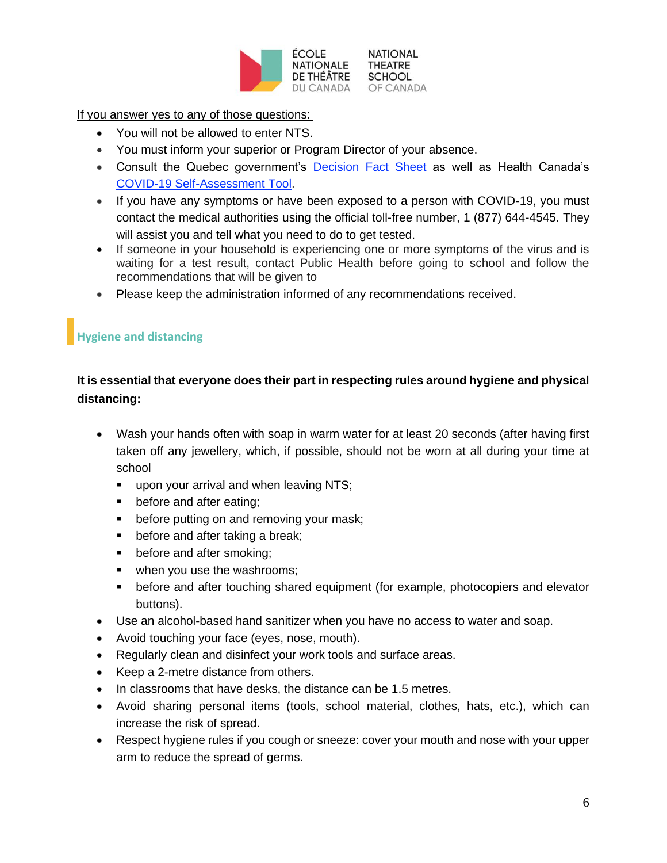

**NATIONAL** DU CANADA OF CANADA

If you answer yes to any of those questions:

- You will not be allowed to enter NTS.
- You must inform your superior or Program Director of your absence.
- Consult the Quebec government's [Decision Fact Sheet](https://cdn-contenu.quebec.ca/cdn-contenu/sante/documents/Problemes_de_sante/covid-19/Aide_decision/20-210-60A_aide-decision-anglais.pdf?1587490321) as well as Health Canada's [COVID-19 Self-Assessment Tool.](https://ca.thrive.health/covid19/en)
- If you have any symptoms or have been exposed to a person with COVID-19, you must contact the medical authorities using the official toll-free number, 1 (877) 644-4545. They will assist you and tell what you need to do to get tested.
- If someone in your household is experiencing one or more symptoms of the virus and is waiting for a test result, contact Public Health before going to school and follow the recommendations that will be given to
- Please keep the administration informed of any recommendations received.

## <span id="page-5-0"></span>**Hygiene and distancing**

## **It is essential that everyone does their part in respecting rules around hygiene and physical distancing:**

- Wash your hands often with soap in warm water for at least 20 seconds (after having first taken off any jewellery, which, if possible, should not be worn at all during your time at school
	- upon your arrival and when leaving NTS;
	- before and after eating;
	- **•** before putting on and removing your mask;
	- before and after taking a break;
	- before and after smoking;
	- **•** when you use the washrooms;
	- before and after touching shared equipment (for example, photocopiers and elevator buttons).
- Use an alcohol-based hand sanitizer when you have no access to water and soap.
- Avoid touching your face (eyes, nose, mouth).
- Regularly clean and disinfect your work tools and surface areas.
- Keep a 2-metre distance from others.
- In classrooms that have desks, the distance can be 1.5 metres.
- Avoid sharing personal items (tools, school material, clothes, hats, etc.), which can increase the risk of spread.
- Respect hygiene rules if you cough or sneeze: cover your mouth and nose with your upper arm to reduce the spread of germs.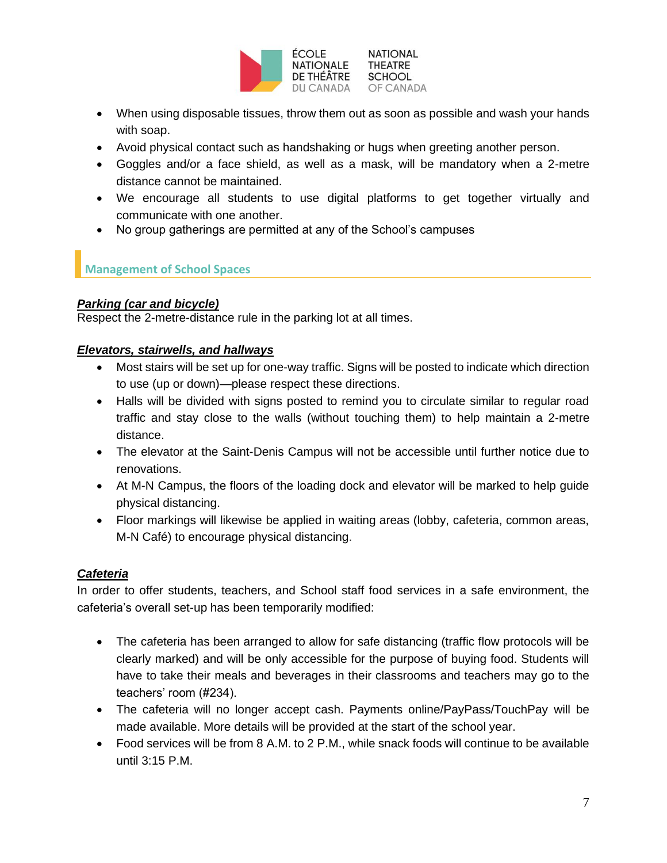

- When using disposable tissues, throw them out as soon as possible and wash your hands with soap.
- Avoid physical contact such as handshaking or hugs when greeting another person.
- Goggles and/or a face shield, as well as a mask, will be mandatory when a 2-metre distance cannot be maintained.
- We encourage all students to use digital platforms to get together virtually and communicate with one another.
- No group gatherings are permitted at any of the School's campuses

## <span id="page-6-0"></span>**Management of School Spaces**

#### *Parking (car and bicycle)*

Respect the 2-metre-distance rule in the parking lot at all times.

## *Elevators, stairwells, and hallways*

- Most stairs will be set up for one-way traffic. Signs will be posted to indicate which direction to use (up or down)—please respect these directions.
- Halls will be divided with signs posted to remind you to circulate similar to regular road traffic and stay close to the walls (without touching them) to help maintain a 2-metre distance.
- The elevator at the Saint-Denis Campus will not be accessible until further notice due to renovations.
- At M-N Campus, the floors of the loading dock and elevator will be marked to help guide physical distancing.
- Floor markings will likewise be applied in waiting areas (lobby, cafeteria, common areas, M-N Café) to encourage physical distancing.

## *Cafeteria*

In order to offer students, teachers, and School staff food services in a safe environment, the cafeteria's overall set-up has been temporarily modified:

- The cafeteria has been arranged to allow for safe distancing (traffic flow protocols will be clearly marked) and will be only accessible for the purpose of buying food. Students will have to take their meals and beverages in their classrooms and teachers may go to the teachers' room (#234).
- The cafeteria will no longer accept cash. Payments online/PayPass/TouchPay will be made available. More details will be provided at the start of the school year.
- Food services will be from 8 A.M. to 2 P.M., while snack foods will continue to be available until 3:15 P.M.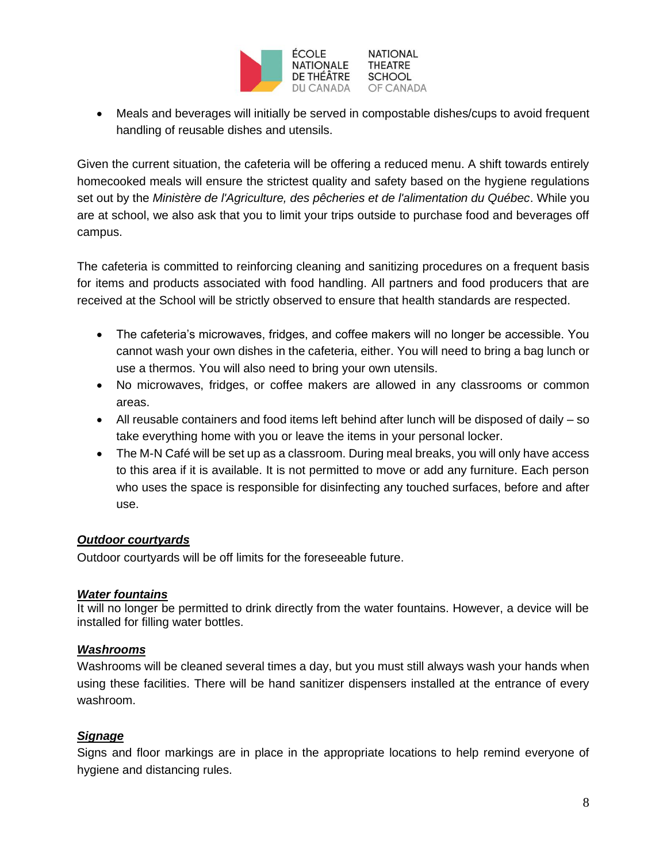

• Meals and beverages will initially be served in compostable dishes/cups to avoid frequent handling of reusable dishes and utensils.

Given the current situation, the cafeteria will be offering a reduced menu. A shift towards entirely homecooked meals will ensure the strictest quality and safety based on the hygiene regulations set out by the *Ministère de l'Agriculture, des pêcheries et de l'alimentation du Québec*. While you are at school, we also ask that you to limit your trips outside to purchase food and beverages off campus.

The cafeteria is committed to reinforcing cleaning and sanitizing procedures on a frequent basis for items and products associated with food handling. All partners and food producers that are received at the School will be strictly observed to ensure that health standards are respected.

- The cafeteria's microwaves, fridges, and coffee makers will no longer be accessible. You cannot wash your own dishes in the cafeteria, either. You will need to bring a bag lunch or use a thermos. You will also need to bring your own utensils.
- No microwaves, fridges, or coffee makers are allowed in any classrooms or common areas.
- All reusable containers and food items left behind after lunch will be disposed of daily so take everything home with you or leave the items in your personal locker.
- The M-N Café will be set up as a classroom. During meal breaks, you will only have access to this area if it is available. It is not permitted to move or add any furniture. Each person who uses the space is responsible for disinfecting any touched surfaces, before and after use.

#### *Outdoor courtyards*

Outdoor courtyards will be off limits for the foreseeable future.

#### *Water fountains*

It will no longer be permitted to drink directly from the water fountains. However, a device will be installed for filling water bottles.

#### *Washrooms*

Washrooms will be cleaned several times a day, but you must still always wash your hands when using these facilities. There will be hand sanitizer dispensers installed at the entrance of every washroom.

#### *Signage*

Signs and floor markings are in place in the appropriate locations to help remind everyone of hygiene and distancing rules.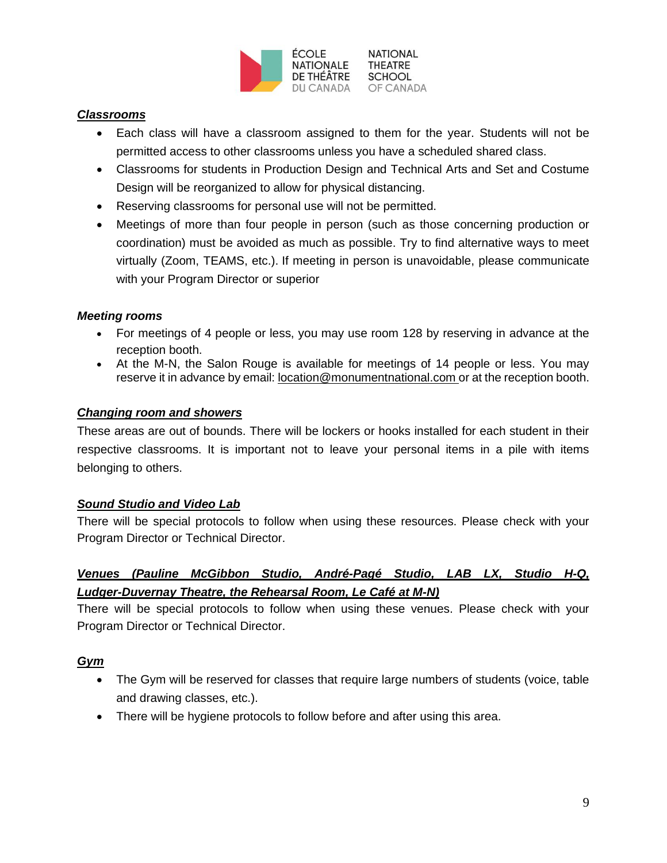

#### *Classrooms*

- Each class will have a classroom assigned to them for the year. Students will not be permitted access to other classrooms unless you have a scheduled shared class.
- Classrooms for students in Production Design and Technical Arts and Set and Costume Design will be reorganized to allow for physical distancing.
- Reserving classrooms for personal use will not be permitted.
- Meetings of more than four people in person (such as those concerning production or coordination) must be avoided as much as possible. Try to find alternative ways to meet virtually (Zoom, TEAMS, etc.). If meeting in person is unavoidable, please communicate with your Program Director or superior

#### *Meeting rooms*

- For meetings of 4 people or less, you may use room 128 by reserving in advance at the reception booth.
- At the M-N, the Salon Rouge is available for meetings of 14 people or less. You may reserve it in advance by email: [location@monumentnational.com](mailto:location@monumentnational.com) or at the reception booth.

#### *Changing room and showers*

These areas are out of bounds. There will be lockers or hooks installed for each student in their respective classrooms. It is important not to leave your personal items in a pile with items belonging to others.

#### *Sound Studio and Video Lab*

There will be special protocols to follow when using these resources. Please check with your Program Director or Technical Director.

## *Venues (Pauline McGibbon Studio, André-Pagé Studio, LAB LX, Studio H-Q, Ludger-Duvernay Theatre, the Rehearsal Room, Le Café at M-N)*

There will be special protocols to follow when using these venues. Please check with your Program Director or Technical Director.

#### *Gym*

- The Gym will be reserved for classes that require large numbers of students (voice, table and drawing classes, etc.).
- There will be hygiene protocols to follow before and after using this area.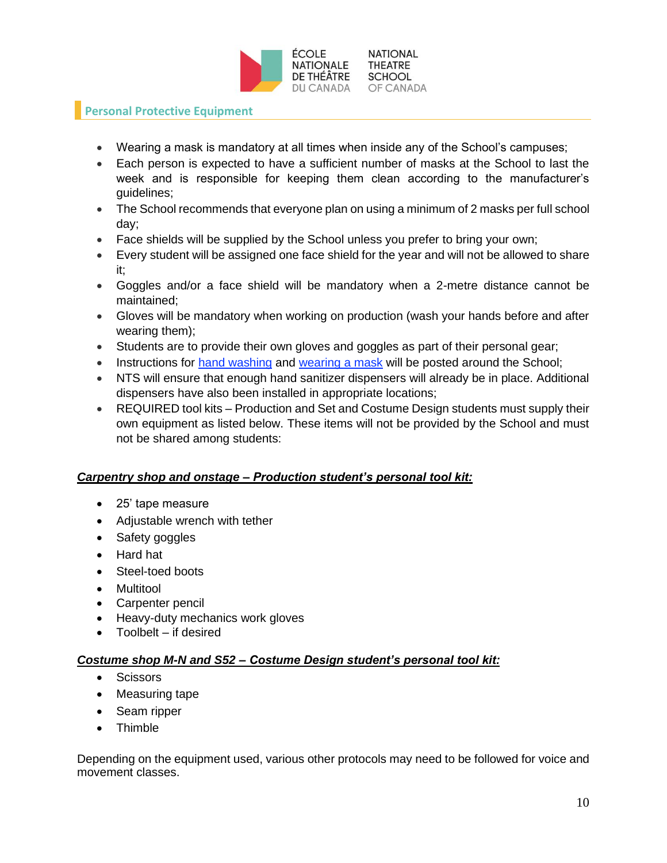

## <span id="page-9-0"></span>**Personal Protective Equipment**

- Wearing a mask is mandatory at all times when inside any of the School's campuses;
- Each person is expected to have a sufficient number of masks at the School to last the week and is responsible for keeping them clean according to the manufacturer's guidelines;
- The School recommends that everyone plan on using a minimum of 2 masks per full school day;
- Face shields will be supplied by the School unless you prefer to bring your own;
- Every student will be assigned one face shield for the year and will not be allowed to share it;
- Goggles and/or a face shield will be mandatory when a 2-metre distance cannot be maintained;
- Gloves will be mandatory when working on production (wash your hands before and after wearing them);
- Students are to provide their own gloves and goggles as part of their personal gear;
- Instructions for [hand washing](https://www.protegez-vous.ca/sante-et-alimentation/covid-19-comment-se-laver-les-mains) and [wearing a mask](https://www.quebec.ca/en/health/health-issues/a-z/2019-coronavirus/wearing-a-face-covering-in-public-settings-in-the-context-of-the-covid-19-pandemic/) will be posted around the School;
- NTS will ensure that enough hand sanitizer dispensers will already be in place. Additional dispensers have also been installed in appropriate locations;
- REQUIRED tool kits Production and Set and Costume Design students must supply their own equipment as listed below. These items will not be provided by the School and must not be shared among students:

#### *Carpentry shop and onstage – Production student's personal tool kit:*

- 25' tape measure
- Adjustable wrench with tether
- Safety goggles
- Hard hat
- Steel-toed boots
- Multitool
- Carpenter pencil
- Heavy-duty mechanics work gloves
- Toolbelt if desired

#### *Costume shop M-N and S52 – Costume Design student's personal tool kit:*

- Scissors
- Measuring tape
- Seam ripper
- Thimble

Depending on the equipment used, various other protocols may need to be followed for voice and movement classes.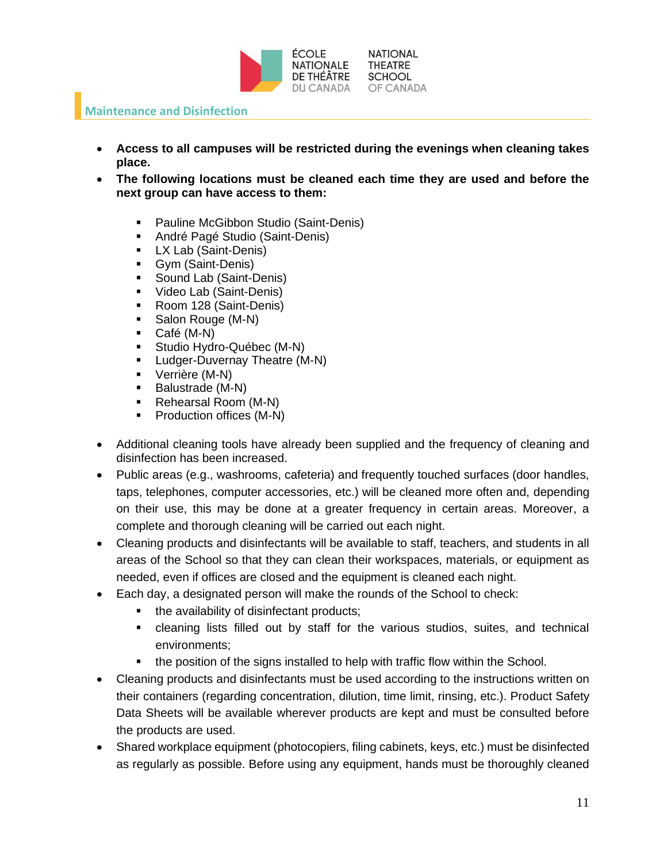

#### <span id="page-10-0"></span>**Maintenance and Disinfection**

- **Access to all campuses will be restricted during the evenings when cleaning takes place.**
- **The following locations must be cleaned each time they are used and before the next group can have access to them:**
	- Pauline McGibbon Studio (Saint-Denis)
	- André Pagé Studio (Saint-Denis)
	- LX Lab (Saint-Denis)
	- Gym (Saint-Denis)
	- Sound Lab (Saint-Denis)
	- Video Lab (Saint-Denis)
	- Room 128 (Saint-Denis)
	- Salon Rouge (M-N)
	- Café (M-N)
	- **E** Studio Hydro-Québec (M-N)
	- **•** Ludger-Duvernay Theatre (M-N)
	- Verrière (M-N)
	- Balustrade (M-N)
	- Rehearsal Room (M-N)
	- Production offices (M-N)
- Additional cleaning tools have already been supplied and the frequency of cleaning and disinfection has been increased.
- Public areas (e.g., washrooms, cafeteria) and frequently touched surfaces (door handles, taps, telephones, computer accessories, etc.) will be cleaned more often and, depending on their use, this may be done at a greater frequency in certain areas. Moreover, a complete and thorough cleaning will be carried out each night.
- Cleaning products and disinfectants will be available to staff, teachers, and students in all areas of the School so that they can clean their workspaces, materials, or equipment as needed, even if offices are closed and the equipment is cleaned each night.
- Each day, a designated person will make the rounds of the School to check:
	- the availability of disinfectant products;
	- cleaning lists filled out by staff for the various studios, suites, and technical environments;
	- the position of the signs installed to help with traffic flow within the School.
- Cleaning products and disinfectants must be used according to the instructions written on their containers (regarding concentration, dilution, time limit, rinsing, etc.). Product Safety Data Sheets will be available wherever products are kept and must be consulted before the products are used.
- Shared workplace equipment (photocopiers, filing cabinets, keys, etc.) must be disinfected as regularly as possible. Before using any equipment, hands must be thoroughly cleaned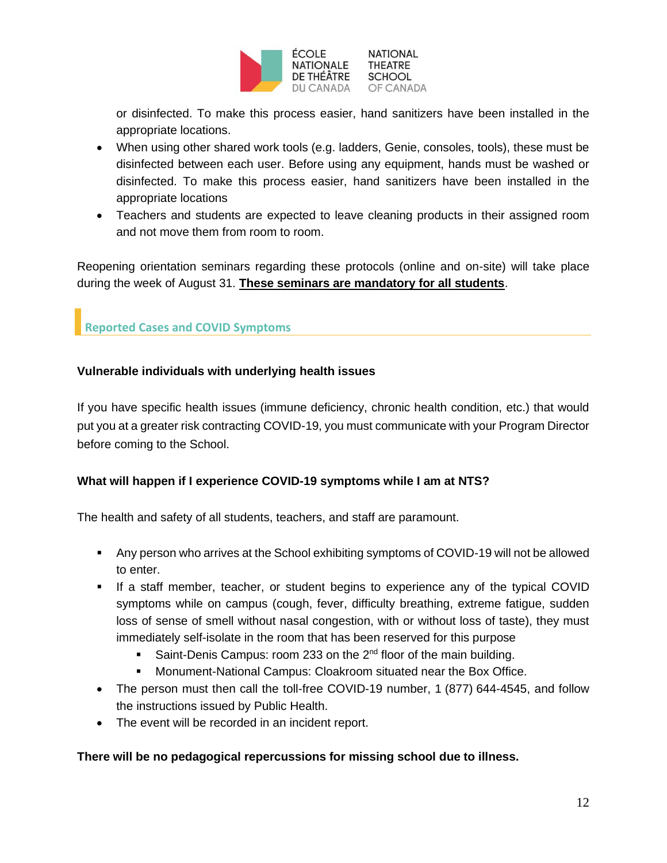

or disinfected. To make this process easier, hand sanitizers have been installed in the appropriate locations.

- When using other shared work tools (e.g. ladders, Genie, consoles, tools), these must be disinfected between each user. Before using any equipment, hands must be washed or disinfected. To make this process easier, hand sanitizers have been installed in the appropriate locations
- Teachers and students are expected to leave cleaning products in their assigned room and not move them from room to room.

Reopening orientation seminars regarding these protocols (online and on-site) will take place during the week of August 31. **These seminars are mandatory for all students**.

## <span id="page-11-0"></span>**Reported Cases and COVID Symptoms**

#### **Vulnerable individuals with underlying health issues**

If you have specific health issues (immune deficiency, chronic health condition, etc.) that would put you at a greater risk contracting COVID-19, you must communicate with your Program Director before coming to the School.

#### **What will happen if I experience COVID-19 symptoms while I am at NTS?**

The health and safety of all students, teachers, and staff are paramount.

- Any person who arrives at the School exhibiting symptoms of COVID-19 will not be allowed to enter.
- **.** If a staff member, teacher, or student begins to experience any of the typical COVID symptoms while on campus (cough, fever, difficulty breathing, extreme fatigue, sudden loss of sense of smell without nasal congestion, with or without loss of taste), they must immediately self-isolate in the room that has been reserved for this purpose
	- Saint-Denis Campus: room 233 on the  $2^{nd}$  floor of the main building.
	- **■** Monument-National Campus: Cloakroom situated near the Box Office.
- The person must then call the toll-free COVID-19 number, 1 (877) 644-4545, and follow the instructions issued by Public Health.
- The event will be recorded in an incident report.

#### **There will be no pedagogical repercussions for missing school due to illness.**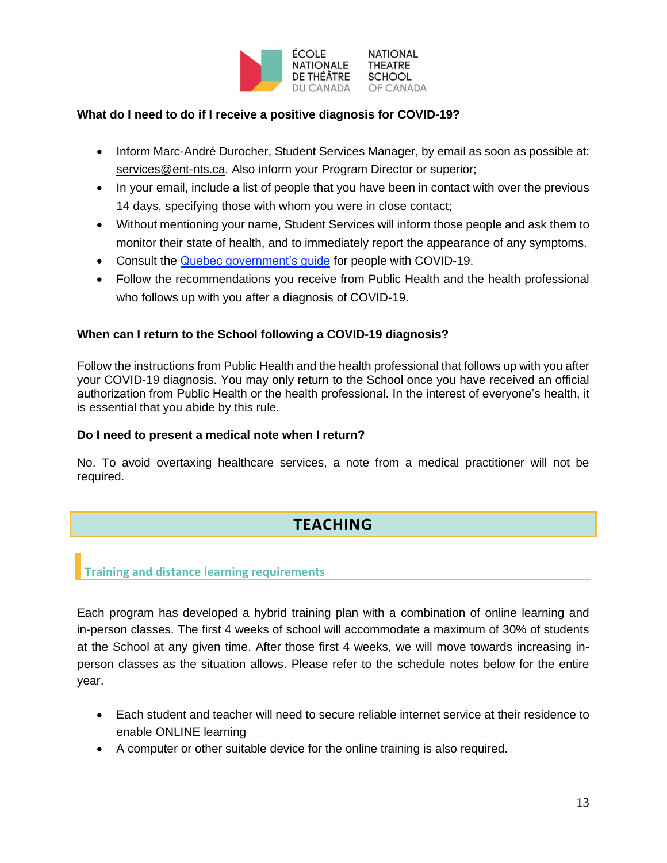

#### **What do I need to do if I receive a positive diagnosis for COVID-19?**

- Inform Marc-André Durocher, Student Services Manager, by email as soon as possible at: [services@ent-nts.ca.](mailto:services@ent-nts.ca) Also inform your Program Director or superior;
- In your email, include a list of people that you have been in contact with over the previous 14 days, specifying those with whom you were in close contact;
- Without mentioning your name, Student Services will inform those people and ask them to monitor their state of health, and to immediately report the appearance of any symptoms.
- Consult the [Quebec government's guide](https://www.quebec.ca/en/health/health-issues/a-z/2019-coronavirus/instructions-for-people-with-covid-19-in-home-isolation/) for people with COVID-19.
- Follow the recommendations you receive from Public Health and the health professional who follows up with you after a diagnosis of COVID-19.

#### **When can I return to the School following a COVID-19 diagnosis?**

Follow the instructions from Public Health and the health professional that follows up with you after your COVID-19 diagnosis. You may only return to the School once you have received an official authorization from Public Health or the health professional. In the interest of everyone's health, it is essential that you abide by this rule.

#### **Do I need to present a medical note when I return?**

No. To avoid overtaxing healthcare services, a note from a medical practitioner will not be required.

# **TEACHING**

#### <span id="page-12-1"></span><span id="page-12-0"></span>**Training and distance learning requirements**

Each program has developed a hybrid training plan with a combination of online learning and in-person classes. The first 4 weeks of school will accommodate a maximum of 30% of students at the School at any given time. After those first 4 weeks, we will move towards increasing inperson classes as the situation allows. Please refer to the schedule notes below for the entire year.

- Each student and teacher will need to secure reliable internet service at their residence to enable ONLINE learning
- A computer or other suitable device for the online training is also required.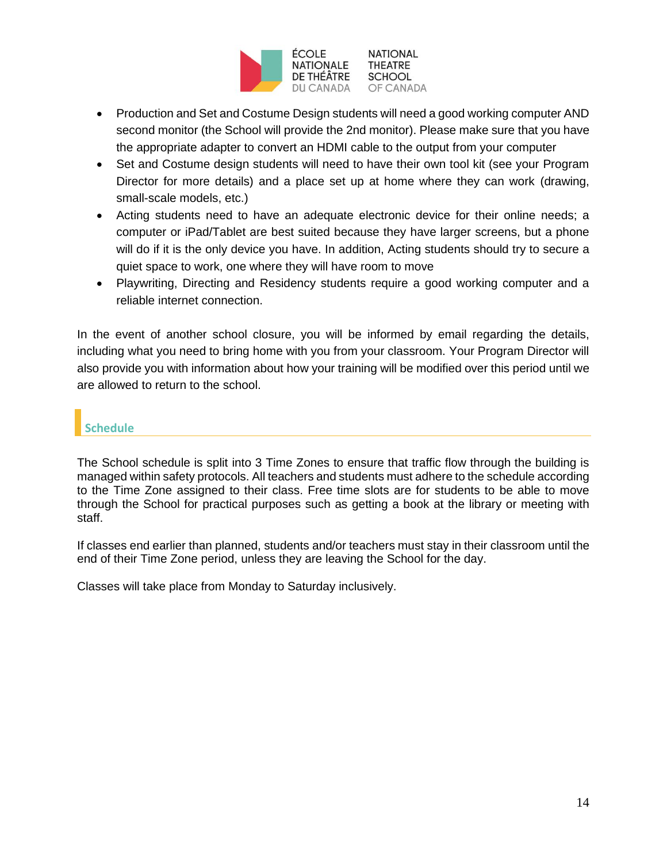

- Production and Set and Costume Design students will need a good working computer AND second monitor (the School will provide the 2nd monitor). Please make sure that you have the appropriate adapter to convert an HDMI cable to the output from your computer
- Set and Costume design students will need to have their own tool kit (see your Program Director for more details) and a place set up at home where they can work (drawing, small-scale models, etc.)
- Acting students need to have an adequate electronic device for their online needs; a computer or iPad/Tablet are best suited because they have larger screens, but a phone will do if it is the only device you have. In addition, Acting students should try to secure a quiet space to work, one where they will have room to move
- Playwriting, Directing and Residency students require a good working computer and a reliable internet connection.

In the event of another school closure, you will be informed by email regarding the details, including what you need to bring home with you from your classroom. Your Program Director will also provide you with information about how your training will be modified over this period until we are allowed to return to the school.

# <span id="page-13-0"></span>**Schedule**

The School schedule is split into 3 Time Zones to ensure that traffic flow through the building is managed within safety protocols. All teachers and students must adhere to the schedule according to the Time Zone assigned to their class. Free time slots are for students to be able to move through the School for practical purposes such as getting a book at the library or meeting with staff.

If classes end earlier than planned, students and/or teachers must stay in their classroom until the end of their Time Zone period, unless they are leaving the School for the day.

Classes will take place from Monday to Saturday inclusively.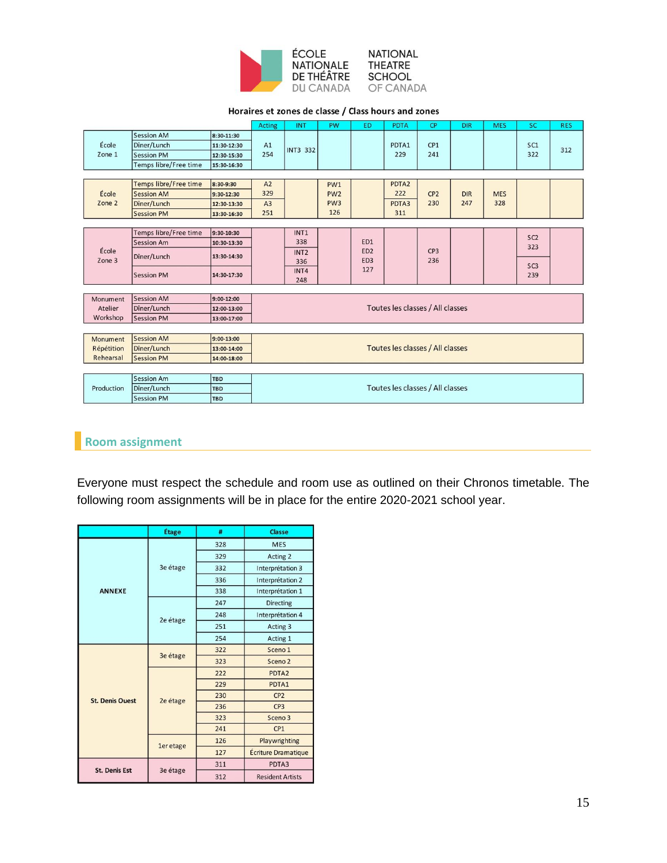

#### **NATIONAL** THEATRE **SCHOOL** OF CANADA

#### Horaires et zones de classe / Class hours and zones

|                 |                              |             | <b>Acting</b>                    | <b>INT</b>                       | PW              | <b>ED</b>                          | <b>PDTA</b>       | CP                     | <b>DIR</b> | <b>MES</b> | <b>SC</b>              | <b>RES</b> |
|-----------------|------------------------------|-------------|----------------------------------|----------------------------------|-----------------|------------------------------------|-------------------|------------------------|------------|------------|------------------------|------------|
|                 | <b>Session AM</b>            | 8:30-11:30  |                                  |                                  |                 |                                    |                   |                        |            |            |                        |            |
| École           | Dîner/Lunch                  | 11:30-12:30 | A1                               | <b>INT3 332</b>                  |                 |                                    | PDTA1             | CP1                    |            |            | SC1                    | 312        |
| Zone 1          | <b>Session PM</b>            | 12:30-15:30 | 254                              |                                  |                 |                                    | 229               | 241                    |            |            | 322                    |            |
|                 | Temps libre/Free time        | 15:30-16:30 |                                  |                                  |                 |                                    |                   |                        |            |            |                        |            |
|                 |                              |             |                                  |                                  |                 |                                    |                   |                        |            |            |                        |            |
|                 | <b>Temps libre/Free time</b> | 8:30-9:30   | A2                               |                                  | PW <sub>1</sub> |                                    | PDTA <sub>2</sub> |                        |            |            |                        |            |
| École           | <b>Session AM</b>            | 9:30-12:30  | 329                              |                                  | PW <sub>2</sub> |                                    | 222               | CP <sub>2</sub>        | <b>DIR</b> | <b>MES</b> |                        |            |
| Zone 2          | Dîner/Lunch                  | 12:30-13:30 | A3                               |                                  | PW <sub>3</sub> |                                    | PDTA3             | 230                    | 247        | 328        |                        |            |
|                 | <b>Session PM</b>            | 13:30-16:30 | 251                              |                                  | 126             |                                    | 311               |                        |            |            |                        |            |
|                 |                              |             |                                  |                                  |                 |                                    |                   |                        |            |            |                        |            |
|                 | Temps libre/Free time        | 9:30-10:30  |                                  | INT1                             |                 |                                    |                   |                        |            |            | SC <sub>2</sub>        |            |
|                 | <b>Session Am</b>            | 10:30-13:30 |                                  | 338                              |                 | ED1                                |                   |                        |            |            | 323                    |            |
| École<br>Zone 3 | Dîner/Lunch                  | 13:30-14:30 |                                  | INT <sub>2</sub><br>336          |                 | ED <sub>2</sub><br>ED <sub>3</sub> |                   | CP <sub>3</sub><br>236 |            |            |                        |            |
|                 | <b>Session PM</b>            | 14:30-17:30 |                                  | INT4<br>248                      |                 | 127                                |                   |                        |            |            | SC <sub>3</sub><br>239 |            |
|                 |                              |             |                                  |                                  |                 |                                    |                   |                        |            |            |                        |            |
| Monument        | <b>Session AM</b>            | 9:00-12:00  |                                  |                                  |                 |                                    |                   |                        |            |            |                        |            |
| Atelier         | Dîner/Lunch                  | 12:00-13:00 |                                  | Toutes les classes / All classes |                 |                                    |                   |                        |            |            |                        |            |
| Workshop        | <b>Session PM</b>            | 13:00-17:00 |                                  |                                  |                 |                                    |                   |                        |            |            |                        |            |
|                 |                              |             |                                  |                                  |                 |                                    |                   |                        |            |            |                        |            |
| Monument        | <b>Session AM</b>            | 9:00-13:00  |                                  |                                  |                 |                                    |                   |                        |            |            |                        |            |
| Répétition      | Dîner/Lunch                  | 13:00-14:00 |                                  | Toutes les classes / All classes |                 |                                    |                   |                        |            |            |                        |            |
| Rehearsal       | <b>Session PM</b>            | 14:00-18:00 |                                  |                                  |                 |                                    |                   |                        |            |            |                        |            |
|                 |                              |             |                                  |                                  |                 |                                    |                   |                        |            |            |                        |            |
|                 | <b>Session Am</b>            | TBD         | Toutes les classes / All classes |                                  |                 |                                    |                   |                        |            |            |                        |            |
| Production      | Dîner/Lunch                  | <b>TBD</b>  |                                  |                                  |                 |                                    |                   |                        |            |            |                        |            |
|                 | <b>Session PM</b>            | <b>TBD</b>  |                                  |                                  |                 |                                    |                   |                        |            |            |                        |            |

# <span id="page-14-0"></span>**Room assignment**

Everyone must respect the schedule and room use as outlined on their Chronos timetable. The following room assignments will be in place for the entire 2020-2021 school year.

|                        | Étage                | #   | <b>Classe</b>           |
|------------------------|----------------------|-----|-------------------------|
|                        |                      | 328 | <b>MES</b>              |
|                        |                      | 329 | Acting 2                |
|                        | 3e étage             | 332 | Interprétation 3        |
|                        |                      | 336 | Interprétation 2        |
| <b>ANNEXE</b>          |                      | 338 | Interprétation 1        |
|                        |                      | 247 | <b>Directing</b>        |
|                        | 2e étage             | 248 | Interprétation 4        |
|                        |                      | 251 | Acting 3                |
|                        |                      | 254 | Acting 1                |
|                        | 3e étage<br>2e étage | 322 | Sceno 1                 |
|                        |                      | 323 | Sceno <sub>2</sub>      |
|                        |                      | 222 | PDTA <sub>2</sub>       |
|                        |                      | 229 | PDTA1                   |
| <b>St. Denis Ouest</b> |                      | 230 | CP <sub>2</sub>         |
|                        |                      | 236 | CP <sub>3</sub>         |
|                        |                      | 323 | Sceno 3                 |
|                        |                      | 241 | CP1                     |
|                        | 1er etage            | 126 | Playwrighting           |
|                        |                      | 127 | Écriture Dramatique     |
| <b>St. Denis Est</b>   | 3e étage             | 311 | PDTA3                   |
|                        |                      | 312 | <b>Resident Artists</b> |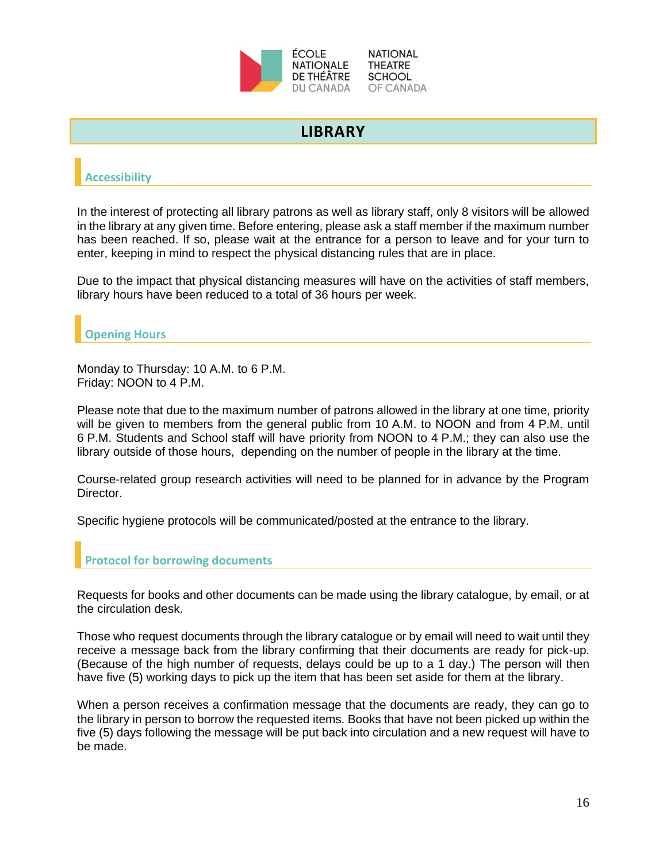

# **LIBRARY**

# <span id="page-15-1"></span><span id="page-15-0"></span>**Accessibility**

In the interest of protecting all library patrons as well as library staff, only 8 visitors will be allowed in the library at any given time. Before entering, please ask a staff member if the maximum number has been reached. If so, please wait at the entrance for a person to leave and for your turn to enter, keeping in mind to respect the physical distancing rules that are in place.

Due to the impact that physical distancing measures will have on the activities of staff members, library hours have been reduced to a total of 36 hours per week.

## <span id="page-15-2"></span>**Opening Hours**

Monday to Thursday: 10 A.M. to 6 P.M. Friday: NOON to 4 P.M.

Please note that due to the maximum number of patrons allowed in the library at one time, priority will be given to members from the general public from 10 A.M. to NOON and from 4 P.M. until 6 P.M. Students and School staff will have priority from NOON to 4 P.M.; they can also use the library outside of those hours, depending on the number of people in the library at the time.

Course-related group research activities will need to be planned for in advance by the Program Director.

Specific hygiene protocols will be communicated/posted at the entrance to the library.

## <span id="page-15-3"></span>**Protocol for borrowing documents**

Requests for books and other documents can be made using the library catalogue, by email, or at the circulation desk.

Those who request documents through the library catalogue or by email will need to wait until they receive a message back from the library confirming that their documents are ready for pick-up. (Because of the high number of requests, delays could be up to a 1 day.) The person will then have five (5) working days to pick up the item that has been set aside for them at the library.

When a person receives a confirmation message that the documents are ready, they can go to the library in person to borrow the requested items. Books that have not been picked up within the five (5) days following the message will be put back into circulation and a new request will have to be made.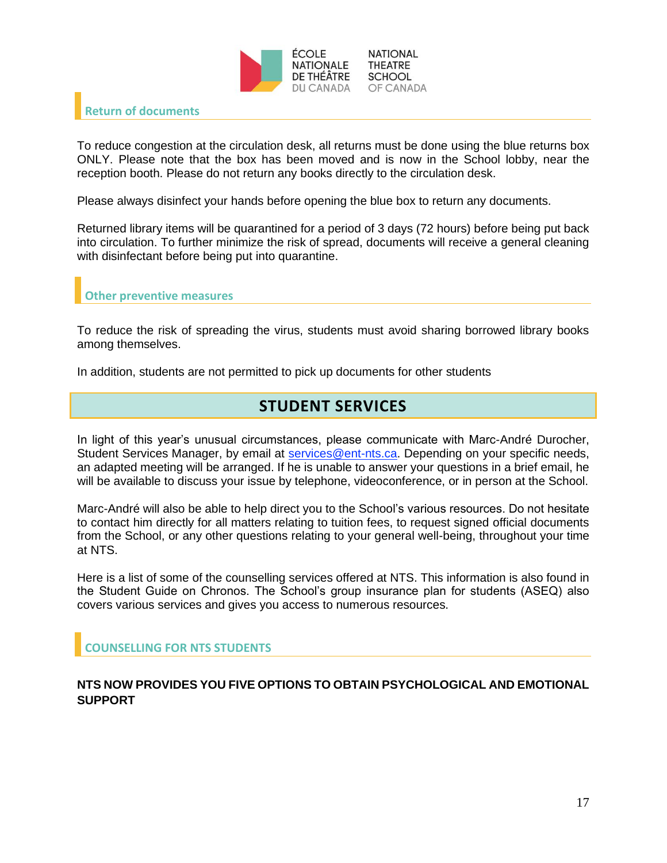

#### <span id="page-16-0"></span>**Return of documents**

To reduce congestion at the circulation desk, all returns must be done using the blue returns box ONLY. Please note that the box has been moved and is now in the School lobby, near the reception booth. Please do not return any books directly to the circulation desk.

Please always disinfect your hands before opening the blue box to return any documents.

Returned library items will be quarantined for a period of 3 days (72 hours) before being put back into circulation. To further minimize the risk of spread, documents will receive a general cleaning with disinfectant before being put into quarantine.

<span id="page-16-1"></span>**Other preventive measures**

To reduce the risk of spreading the virus, students must avoid sharing borrowed library books among themselves.

<span id="page-16-2"></span>In addition, students are not permitted to pick up documents for other students

# **STUDENT SERVICES**

In light of this year's unusual circumstances, please communicate with Marc-André Durocher, Student Services Manager, by email at [services@ent-nts.ca.](mailto:services@ent-nts.ca) Depending on your specific needs, an adapted meeting will be arranged. If he is unable to answer your questions in a brief email, he will be available to discuss your issue by telephone, videoconference, or in person at the School.

Marc-André will also be able to help direct you to the School's various resources. Do not hesitate to contact him directly for all matters relating to tuition fees, to request signed official documents from the School, or any other questions relating to your general well-being, throughout your time at NTS.

Here is a list of some of the counselling services offered at NTS. This information is also found in the Student Guide on Chronos. The School's group insurance plan for students (ASEQ) also covers various services and gives you access to numerous resources.

#### <span id="page-16-3"></span>**COUNSELLING FOR NTS STUDENTS**

#### **NTS NOW PROVIDES YOU FIVE OPTIONS TO OBTAIN PSYCHOLOGICAL AND EMOTIONAL SUPPORT**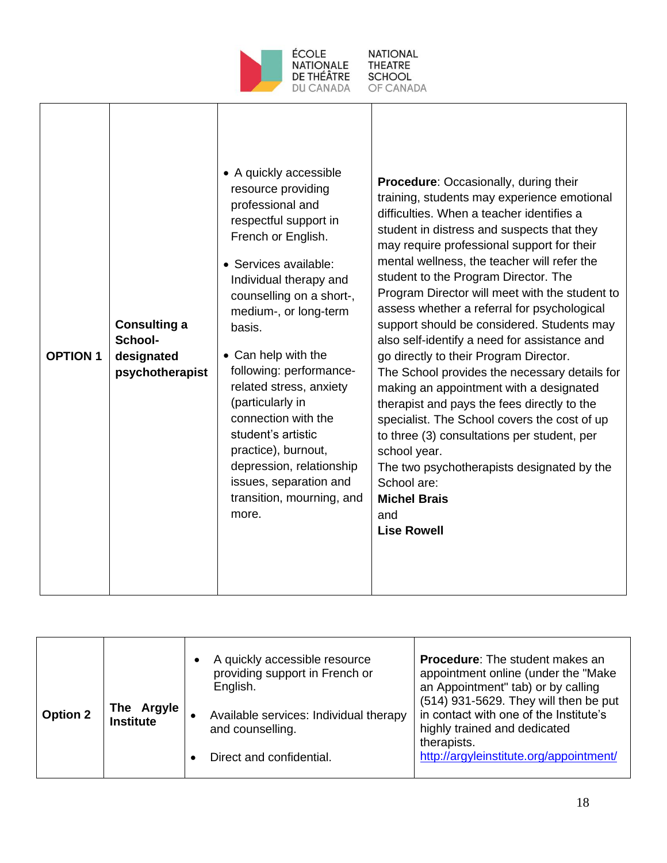

Г

| <b>OPTION 1</b> | <b>Consulting a</b><br>School-<br>designated<br>psychotherapist | • A quickly accessible<br>resource providing<br>professional and<br>respectful support in<br>French or English.<br>• Services available:<br>Individual therapy and<br>counselling on a short-,<br>medium-, or long-term<br>basis.<br>• Can help with the<br>following: performance-<br>related stress, anxiety<br>(particularly in<br>connection with the<br>student's artistic<br>practice), burnout,<br>depression, relationship<br>issues, separation and<br>transition, mourning, and<br>more. | Procedure: Occasionally, during their<br>training, students may experience emotional<br>difficulties. When a teacher identifies a<br>student in distress and suspects that they<br>may require professional support for their<br>mental wellness, the teacher will refer the<br>student to the Program Director. The<br>Program Director will meet with the student to<br>assess whether a referral for psychological<br>support should be considered. Students may<br>also self-identify a need for assistance and<br>go directly to their Program Director.<br>The School provides the necessary details for<br>making an appointment with a designated<br>therapist and pays the fees directly to the<br>specialist. The School covers the cost of up<br>to three (3) consultations per student, per<br>school year.<br>The two psychotherapists designated by the<br>School are:<br><b>Michel Brais</b><br>and<br><b>Lise Rowell</b> |
|-----------------|-----------------------------------------------------------------|----------------------------------------------------------------------------------------------------------------------------------------------------------------------------------------------------------------------------------------------------------------------------------------------------------------------------------------------------------------------------------------------------------------------------------------------------------------------------------------------------|------------------------------------------------------------------------------------------------------------------------------------------------------------------------------------------------------------------------------------------------------------------------------------------------------------------------------------------------------------------------------------------------------------------------------------------------------------------------------------------------------------------------------------------------------------------------------------------------------------------------------------------------------------------------------------------------------------------------------------------------------------------------------------------------------------------------------------------------------------------------------------------------------------------------------------------|
|-----------------|-----------------------------------------------------------------|----------------------------------------------------------------------------------------------------------------------------------------------------------------------------------------------------------------------------------------------------------------------------------------------------------------------------------------------------------------------------------------------------------------------------------------------------------------------------------------------------|------------------------------------------------------------------------------------------------------------------------------------------------------------------------------------------------------------------------------------------------------------------------------------------------------------------------------------------------------------------------------------------------------------------------------------------------------------------------------------------------------------------------------------------------------------------------------------------------------------------------------------------------------------------------------------------------------------------------------------------------------------------------------------------------------------------------------------------------------------------------------------------------------------------------------------------|

| <b>Option 2</b> | The Argyle<br>Institute | ٠ | A quickly accessible resource<br>providing support in French or<br>English.<br>Available services: Individual therapy<br>and counselling.<br>Direct and confidential. | <b>Procedure:</b> The student makes an<br>appointment online (under the "Make<br>an Appointment" tab) or by calling<br>(514) 931-5629. They will then be put<br>in contact with one of the Institute's<br>highly trained and dedicated<br>therapists.<br>http://argyleinstitute.org/appointment/ |
|-----------------|-------------------------|---|-----------------------------------------------------------------------------------------------------------------------------------------------------------------------|--------------------------------------------------------------------------------------------------------------------------------------------------------------------------------------------------------------------------------------------------------------------------------------------------|
|                 |                         |   |                                                                                                                                                                       |                                                                                                                                                                                                                                                                                                  |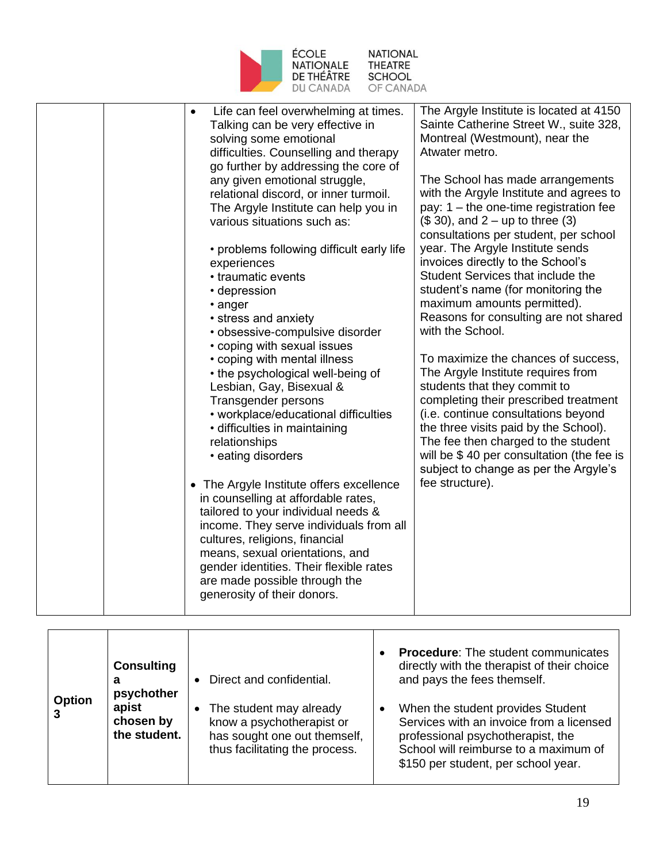

| Life can feel overwhelming at times.<br>$\bullet$<br>Talking can be very effective in<br>solving some emotional<br>difficulties. Counselling and therapy<br>go further by addressing the core of<br>any given emotional struggle,<br>relational discord, or inner turmoil.<br>The Argyle Institute can help you in<br>various situations such as:<br>• problems following difficult early life<br>experiences<br>• traumatic events<br>• depression<br>• anger<br>• stress and anxiety<br>· obsessive-compulsive disorder<br>• coping with sexual issues<br>• coping with mental illness<br>• the psychological well-being of<br>Lesbian, Gay, Bisexual &<br>Transgender persons<br>• workplace/educational difficulties<br>· difficulties in maintaining<br>relationships<br>• eating disorders<br>• The Argyle Institute offers excellence<br>in counselling at affordable rates,<br>tailored to your individual needs &<br>income. They serve individuals from all<br>cultures, religions, financial<br>means, sexual orientations, and<br>gender identities. Their flexible rates<br>are made possible through the<br>generosity of their donors. | The Argyle Institute is located at 4150<br>Sainte Catherine Street W., suite 328,<br>Montreal (Westmount), near the<br>Atwater metro.<br>The School has made arrangements<br>with the Argyle Institute and agrees to<br>pay: $1 -$ the one-time registration fee<br>$($30)$ , and $2 - up$ to three $(3)$<br>consultations per student, per school<br>year. The Argyle Institute sends<br>invoices directly to the School's<br>Student Services that include the<br>student's name (for monitoring the<br>maximum amounts permitted).<br>Reasons for consulting are not shared<br>with the School.<br>To maximize the chances of success,<br>The Argyle Institute requires from<br>students that they commit to<br>completing their prescribed treatment<br>(i.e. continue consultations beyond<br>the three visits paid by the School).<br>The fee then charged to the student<br>will be \$40 per consultation (the fee is<br>subject to change as per the Argyle's<br>fee structure). |
|-------------------------------------------------------------------------------------------------------------------------------------------------------------------------------------------------------------------------------------------------------------------------------------------------------------------------------------------------------------------------------------------------------------------------------------------------------------------------------------------------------------------------------------------------------------------------------------------------------------------------------------------------------------------------------------------------------------------------------------------------------------------------------------------------------------------------------------------------------------------------------------------------------------------------------------------------------------------------------------------------------------------------------------------------------------------------------------------------------------------------------------------------------|------------------------------------------------------------------------------------------------------------------------------------------------------------------------------------------------------------------------------------------------------------------------------------------------------------------------------------------------------------------------------------------------------------------------------------------------------------------------------------------------------------------------------------------------------------------------------------------------------------------------------------------------------------------------------------------------------------------------------------------------------------------------------------------------------------------------------------------------------------------------------------------------------------------------------------------------------------------------------------------|
|                                                                                                                                                                                                                                                                                                                                                                                                                                                                                                                                                                                                                                                                                                                                                                                                                                                                                                                                                                                                                                                                                                                                                       |                                                                                                                                                                                                                                                                                                                                                                                                                                                                                                                                                                                                                                                                                                                                                                                                                                                                                                                                                                                          |

| <b>Option</b> | <b>Consulting</b><br>a<br>psychother | Direct and confidential.                                                                                               | <b>Procedure:</b> The student communicates<br>directly with the therapist of their choice<br>and pays the fees themself.                                                                           |
|---------------|--------------------------------------|------------------------------------------------------------------------------------------------------------------------|----------------------------------------------------------------------------------------------------------------------------------------------------------------------------------------------------|
|               | apist<br>chosen by<br>the student.   | The student may already<br>know a psychotherapist or<br>has sought one out themself,<br>thus facilitating the process. | When the student provides Student<br>Services with an invoice from a licensed<br>professional psychotherapist, the<br>School will reimburse to a maximum of<br>\$150 per student, per school year. |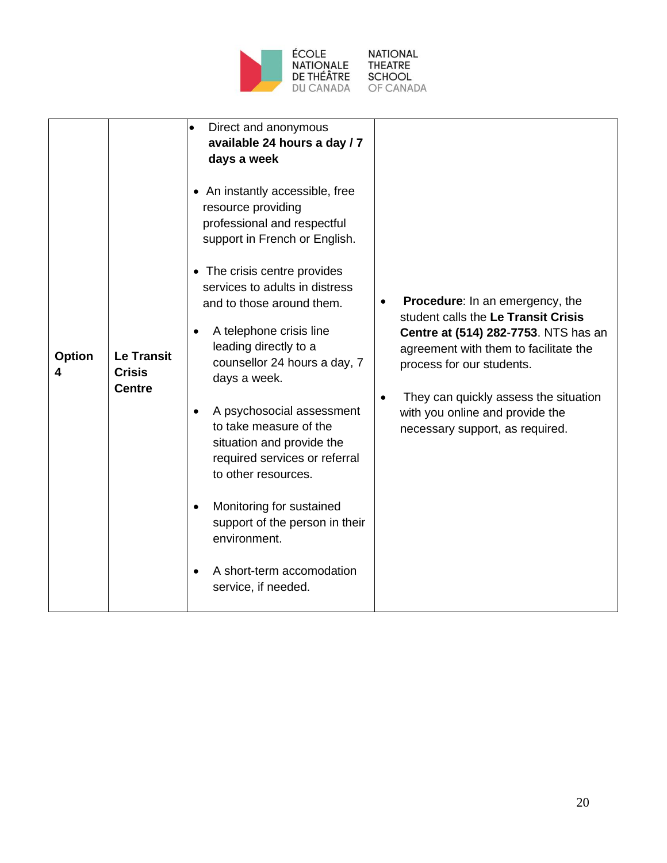

**NATIONAL** THEATRE<br>SCHOOL<br>OF CANADA

| <b>Option</b> | <b>Le Transit</b><br><b>Crisis</b><br><b>Centre</b> | Direct and anonymous<br>$\bullet$<br>available 24 hours a day / 7<br>days a week<br>• An instantly accessible, free<br>resource providing<br>professional and respectful<br>support in French or English.<br>• The crisis centre provides<br>services to adults in distress<br>and to those around them.<br>A telephone crisis line<br>$\bullet$<br>leading directly to a<br>counsellor 24 hours a day, 7<br>days a week.<br>A psychosocial assessment<br>٠<br>to take measure of the<br>situation and provide the<br>required services or referral<br>to other resources.<br>Monitoring for sustained<br>support of the person in their<br>environment. | Procedure: In an emergency, the<br>student calls the Le Transit Crisis<br>Centre at (514) 282-7753. NTS has an<br>agreement with them to facilitate the<br>process for our students.<br>They can quickly assess the situation<br>$\bullet$<br>with you online and provide the<br>necessary support, as required. |
|---------------|-----------------------------------------------------|----------------------------------------------------------------------------------------------------------------------------------------------------------------------------------------------------------------------------------------------------------------------------------------------------------------------------------------------------------------------------------------------------------------------------------------------------------------------------------------------------------------------------------------------------------------------------------------------------------------------------------------------------------|------------------------------------------------------------------------------------------------------------------------------------------------------------------------------------------------------------------------------------------------------------------------------------------------------------------|
|               |                                                     | A short-term accomodation<br>٠<br>service, if needed.                                                                                                                                                                                                                                                                                                                                                                                                                                                                                                                                                                                                    |                                                                                                                                                                                                                                                                                                                  |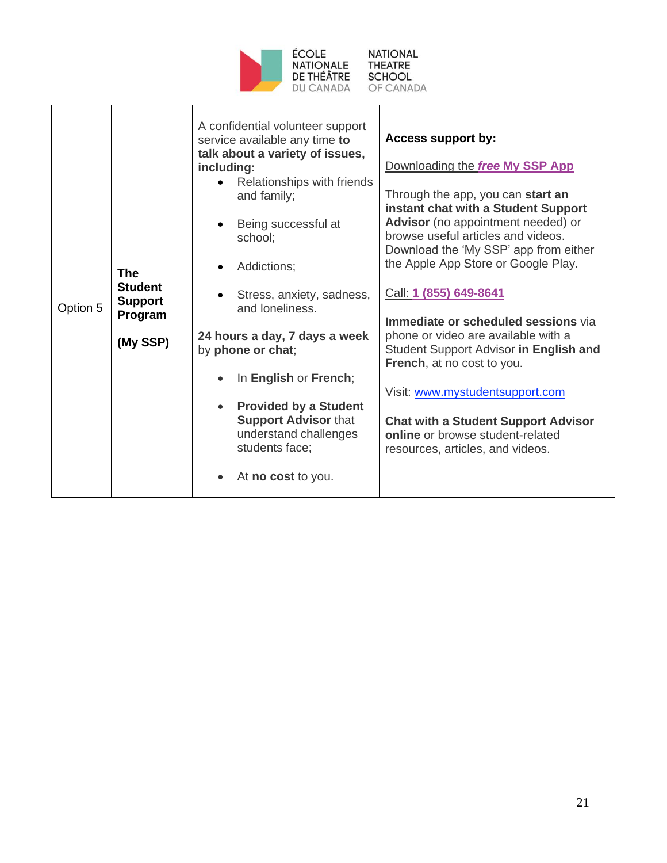

**NATIONAL** THEATRE<br>SCHOOL<br>OF CANADA

| Option 5 | <b>The</b><br><b>Student</b><br><b>Support</b><br>Program<br>(My SSP) | A confidential volunteer support<br><b>Access support by:</b><br>service available any time to<br>talk about a variety of issues,<br>including:<br>Relationships with friends<br>and family;<br>Being successful at<br>$\bullet$<br>school;<br>Addictions;<br>$\bullet$<br>Stress, anxiety, sadness,<br>and loneliness.<br>24 hours a day, 7 days a week<br>by phone or chat;<br>In English or French;<br><b>Provided by a Student</b><br>$\bullet$<br><b>Support Advisor that</b><br>understand challenges<br>students face;<br>At no cost to you.<br>$\bullet$ | Downloading the free My SSP App<br>Through the app, you can start an<br>instant chat with a Student Support<br>Advisor (no appointment needed) or<br>browse useful articles and videos.<br>Download the 'My SSP' app from either<br>the Apple App Store or Google Play.<br>Call: 1 (855) 649-8641<br>Immediate or scheduled sessions via<br>phone or video are available with a<br>Student Support Advisor in English and<br>French, at no cost to you.<br>Visit: www.mystudentsupport.com<br><b>Chat with a Student Support Advisor</b><br>online or browse student-related<br>resources, articles, and videos. |
|----------|-----------------------------------------------------------------------|------------------------------------------------------------------------------------------------------------------------------------------------------------------------------------------------------------------------------------------------------------------------------------------------------------------------------------------------------------------------------------------------------------------------------------------------------------------------------------------------------------------------------------------------------------------|------------------------------------------------------------------------------------------------------------------------------------------------------------------------------------------------------------------------------------------------------------------------------------------------------------------------------------------------------------------------------------------------------------------------------------------------------------------------------------------------------------------------------------------------------------------------------------------------------------------|
|----------|-----------------------------------------------------------------------|------------------------------------------------------------------------------------------------------------------------------------------------------------------------------------------------------------------------------------------------------------------------------------------------------------------------------------------------------------------------------------------------------------------------------------------------------------------------------------------------------------------------------------------------------------------|------------------------------------------------------------------------------------------------------------------------------------------------------------------------------------------------------------------------------------------------------------------------------------------------------------------------------------------------------------------------------------------------------------------------------------------------------------------------------------------------------------------------------------------------------------------------------------------------------------------|